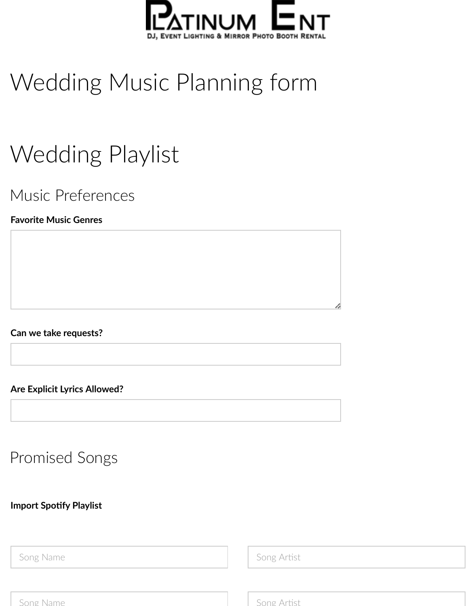

# Wedding Music Planning form

# Wedding Playlist

### Music Preferences

### **Favorite Music Genres**

**Can we take requests?**

**Are Explicit Lyrics Allowed?**

Promised Songs

#### **Import Spotify Playlist**

Song Name Song Artist

Song Name Song Artist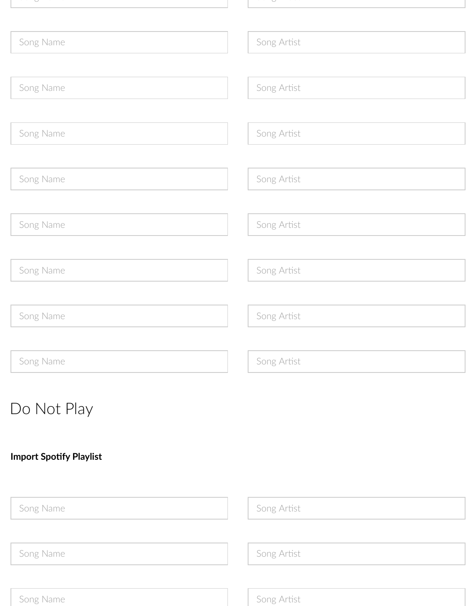| Song Name                      | Song Artist |
|--------------------------------|-------------|
|                                |             |
| Song Name                      | Song Artist |
|                                |             |
| Song Name                      | Song Artist |
|                                |             |
| Song Name                      | Song Artist |
|                                |             |
| Song Name                      | Song Artist |
|                                |             |
| Song Name                      | Song Artist |
|                                |             |
| Song Name                      | Song Artist |
|                                |             |
| Song Name                      | Song Artist |
|                                |             |
| Do Not Play                    |             |
|                                |             |
| <b>Import Spotify Playlist</b> |             |
|                                |             |
| Song Name                      | Song Artist |
|                                |             |
| Song Name                      | Song Artist |
|                                |             |

Song Name Song Artist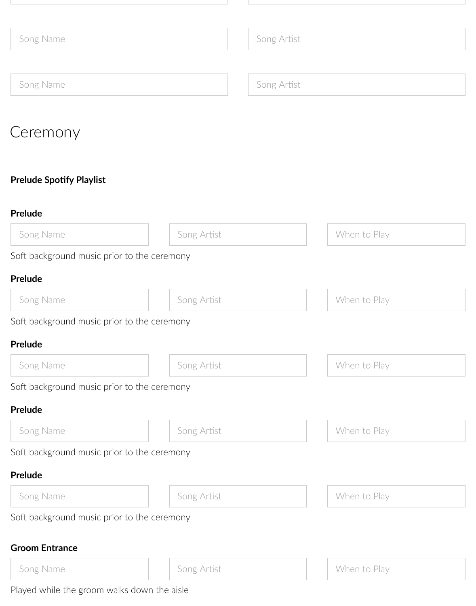| Song Name                                   |             | Song Artist |              |
|---------------------------------------------|-------------|-------------|--------------|
|                                             |             |             |              |
| Song Name                                   |             | Song Artist |              |
|                                             |             |             |              |
| Ceremony                                    |             |             |              |
|                                             |             |             |              |
| <b>Prelude Spotify Playlist</b>             |             |             |              |
| <b>Prelude</b>                              |             |             |              |
| Song Name                                   | Song Artist |             | When to Play |
| Soft background music prior to the ceremony |             |             |              |
| <b>Prelude</b>                              |             |             |              |
| Song Name                                   | Song Artist |             | When to Play |
| Soft background music prior to the ceremony |             |             |              |
| <b>Prelude</b>                              |             |             |              |
| Song Name                                   | Song Artist |             | When to Play |
| Soft background music prior to the ceremony |             |             |              |
| <b>Prelude</b>                              |             |             |              |
| Song Name                                   | Song Artist |             | When to Play |
| Soft background music prior to the ceremony |             |             |              |
| <b>Prelude</b>                              |             |             |              |
| Song Name                                   | Song Artist |             | When to Play |
| Soft background music prior to the ceremony |             |             |              |
| <b>Groom Entrance</b>                       |             |             |              |
| Song Name                                   | Song Artist |             | When to Play |

Played while the groom walks down the aisle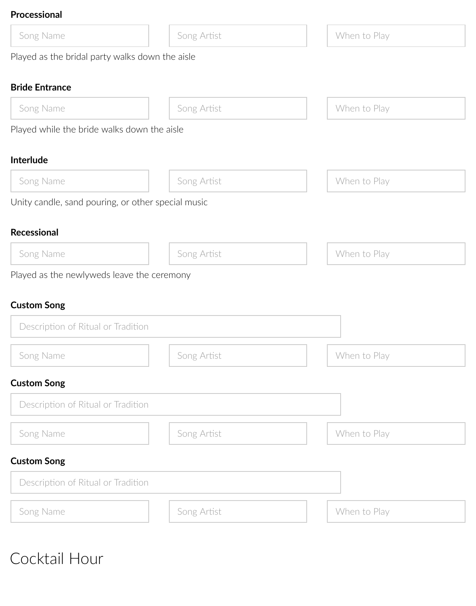### **Processional**

| Song Name                                          | Song Artist | When to Play |
|----------------------------------------------------|-------------|--------------|
| Played as the bridal party walks down the aisle    |             |              |
| <b>Bride Entrance</b>                              |             |              |
| Song Name                                          | Song Artist | When to Play |
| Played while the bride walks down the aisle        |             |              |
| <b>Interlude</b>                                   |             |              |
| Song Name                                          | Song Artist | When to Play |
| Unity candle, sand pouring, or other special music |             |              |
| <b>Recessional</b>                                 |             |              |
| Song Name                                          | Song Artist | When to Play |
| Played as the newlyweds leave the ceremony         |             |              |
| <b>Custom Song</b>                                 |             |              |
| Description of Ritual or Tradition                 |             |              |
| Song Name                                          | Song Artist | When to Play |
| <b>Custom Song</b>                                 |             |              |
| Description of Ritual or Tradition                 |             |              |
| Song Name                                          | Song Artist | When to Play |
| <b>Custom Song</b>                                 |             |              |
| Description of Ritual or Tradition                 |             |              |
| Song Name                                          | Song Artist | When to Play |

# Cocktail Hour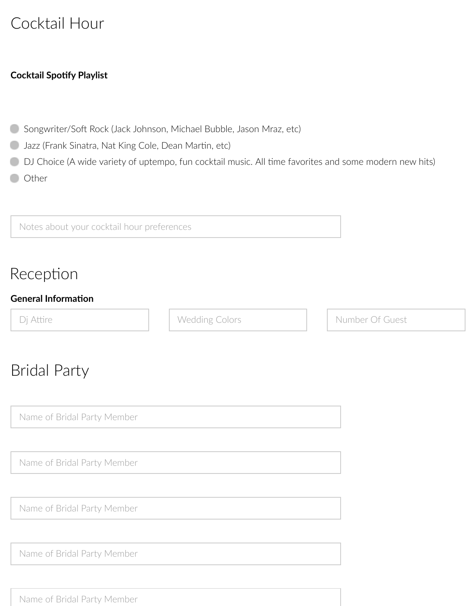# Cocktail Hour

### **Cocktail Spotify Playlist**

- **Songwriter/Soft Rock (Jack Johnson, Michael Bubble, Jason Mraz, etc)**
- **Jazz (Frank Sinatra, Nat King Cole, Dean Martin, etc)**
- DJ Choice (A wide variety of uptempo, fun cocktail music. All time favorites and some modern new hits)

Other

Notes about your cocktail hour preferences

## Reception

### **General Information**

Dj Attire **Number Of Guest** Number Of Guest

# Bridal Party

Name of Bridal Party Member

Name of Bridal Party Member

Name of Bridal Party Member

Name of Bridal Party Member

Name of Bridal Party Member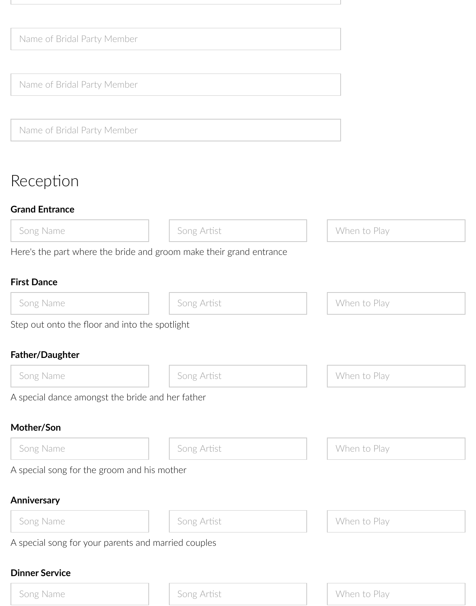Name of Bridal Party Member

Name of Bridal Party Member

Name of Bridal Party Member

### Reception

### **Grand Entrance**

Song Name Song Artist Song Artist Song Artist Song Name Song Name Song Artist

Here's the part where the bride and groom make their grand entrance

### **First Dance**

| Song Name | – Song Artist | When to Play |
|-----------|---------------|--------------|
|           |               |              |

Step out onto the floor and into the spotlight

#### **Father/Daughter**

Song Name Song Artist Name Song Artist Name Song Artist Song Artist Name Song Artist

A special dance amongst the bride and her father

### **Mother/Son**

Song Name Song Artist Song Artist Song Artist Song Name Song Name Song Artist

A special song for the groom and his mother

### **Anniversary**

Song Name Song Artist Song Artist Song Artist Song Name Song Name Song Artist

A special song for your parents and married couples

### **Dinner Service**

Song Name Song Artist Name Song Artist Name Song Artist Song Artist Name Song Artist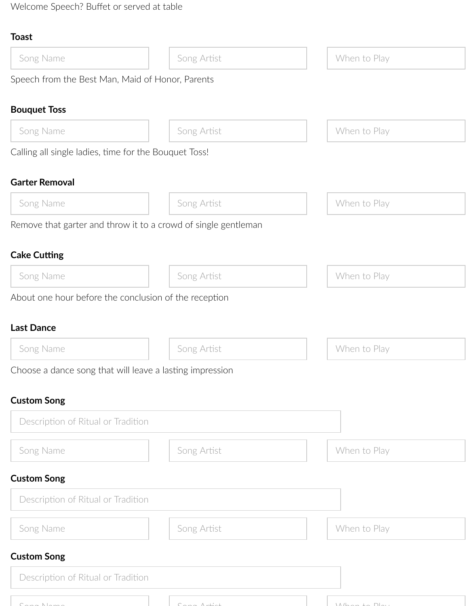### **Toast**

| Song Name                                                | Song Artist                                                    | When to Play |
|----------------------------------------------------------|----------------------------------------------------------------|--------------|
| Speech from the Best Man, Maid of Honor, Parents         |                                                                |              |
| <b>Bouquet Toss</b>                                      |                                                                |              |
| Song Name                                                | Song Artist                                                    | When to Play |
| Calling all single ladies, time for the Bouquet Toss!    |                                                                |              |
| <b>Garter Removal</b>                                    |                                                                |              |
| Song Name                                                | Song Artist                                                    | When to Play |
|                                                          | Remove that garter and throw it to a crowd of single gentleman |              |
| <b>Cake Cutting</b>                                      |                                                                |              |
| Song Name                                                | Song Artist                                                    | When to Play |
| About one hour before the conclusion of the reception    |                                                                |              |
| <b>Last Dance</b>                                        |                                                                |              |
| Song Name                                                | Song Artist                                                    | When to Play |
| Choose a dance song that will leave a lasting impression |                                                                |              |
| <b>Custom Song</b>                                       |                                                                |              |
| Description of Ritual or Tradition                       |                                                                |              |
| Song Name                                                | Song Artist                                                    | When to Play |
| <b>Custom Song</b>                                       |                                                                |              |
| Description of Ritual or Tradition                       |                                                                |              |
| Song Name                                                | Song Artist                                                    | When to Play |
| <b>Custom Song</b>                                       |                                                                |              |
| Description of Ritual or Tradition                       |                                                                |              |

 $Sone Nense$   $\downarrow$   $Sone Nstate$   $\downarrow$   $Nlene$   $\downarrow$   $Nlene$